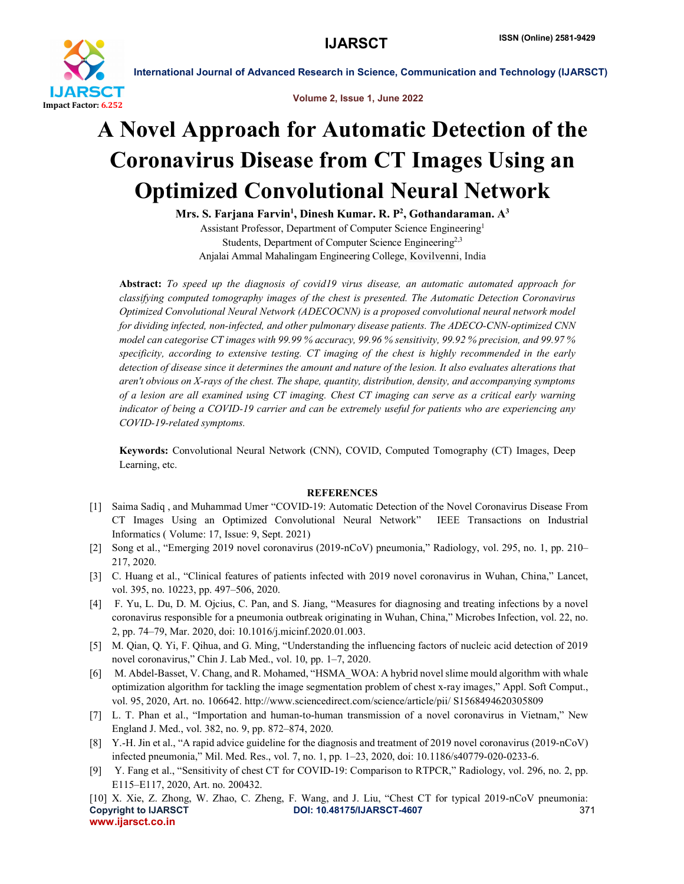

International Journal of Advanced Research in Science, Communication and Technology (IJARSCT)

Volume 2, Issue 1, June 2022

## A Novel Approach for Automatic Detection of the Coronavirus Disease from CT Images Using an Optimized Convolutional Neural Network

Mrs. S. Farjana Farvin<sup>1</sup>, Dinesh Kumar. R. P<sup>2</sup>, Gothandaraman. A<sup>3</sup> Assistant Professor, Department of Computer Science Engineering1 Students, Department of Computer Science Engineering<sup>2,3</sup> Anjalai Ammal Mahalingam Engineering College, Kovilvenni, India

Abstract: *To speed up the diagnosis of covid19 virus disease, an automatic automated approach for classifying computed tomography images of the chest is presented. The Automatic Detection Coronavirus Optimized Convolutional Neural Network (ADECOCNN) is a proposed convolutional neural network model for dividing infected, non-infected, and other pulmonary disease patients. The ADECO-CNN-optimized CNN model can categorise CT images with 99.99 % accuracy, 99.96 % sensitivity, 99.92 % precision, and 99.97 % specificity, according to extensive testing. CT imaging of the chest is highly recommended in the early detection of disease since it determines the amount and nature of the lesion. It also evaluates alterations that aren't obvious on X-rays of the chest. The shape, quantity, distribution, density, and accompanying symptoms of a lesion are all examined using CT imaging. Chest CT imaging can serve as a critical early warning indicator of being a COVID-19 carrier and can be extremely useful for patients who are experiencing any COVID-19-related symptoms.*

Keywords: Convolutional Neural Network (CNN), COVID, Computed Tomography (CT) Images, Deep Learning, etc.

## **REFERENCES**

- [1] Saima Sadiq , and Muhammad Umer "COVID-19: Automatic Detection of the Novel Coronavirus Disease From CT Images Using an Optimized Convolutional Neural Network" IEEE Transactions on Industrial Informatics ( Volume: 17, Issue: 9, Sept. 2021)
- [2] Song et al., "Emerging 2019 novel coronavirus (2019-nCoV) pneumonia," Radiology, vol. 295, no. 1, pp. 210– 217, 2020.
- [3] C. Huang et al., "Clinical features of patients infected with 2019 novel coronavirus in Wuhan, China," Lancet, vol. 395, no. 10223, pp. 497–506, 2020.
- [4] F. Yu, L. Du, D. M. Ojcius, C. Pan, and S. Jiang, "Measures for diagnosing and treating infections by a novel coronavirus responsible for a pneumonia outbreak originating in Wuhan, China," Microbes Infection, vol. 22, no. 2, pp. 74–79, Mar. 2020, doi: 10.1016/j.micinf.2020.01.003.
- [5] M. Qian, Q. Yi, F. Qihua, and G. Ming, "Understanding the influencing factors of nucleic acid detection of 2019 novel coronavirus," Chin J. Lab Med., vol. 10, pp. 1–7, 2020.
- [6] M. Abdel-Basset, V. Chang, and R. Mohamed, "HSMA\_WOA: A hybrid novel slime mould algorithm with whale optimization algorithm for tackling the image segmentation problem of chest x-ray images," Appl. Soft Comput., vol. 95, 2020, Art. no. 106642. http://www.sciencedirect.com/science/article/pii/ S1568494620305809
- [7] L. T. Phan et al., "Importation and human-to-human transmission of a novel coronavirus in Vietnam," New England J. Med., vol. 382, no. 9, pp. 872–874, 2020.
- [8] Y.-H. Jin et al., "A rapid advice guideline for the diagnosis and treatment of 2019 novel coronavirus (2019-nCoV) infected pneumonia," Mil. Med. Res., vol. 7, no. 1, pp. 1–23, 2020, doi: 10.1186/s40779-020-0233-6.
- [9] Y. Fang et al., "Sensitivity of chest CT for COVID-19: Comparison to RTPCR," Radiology, vol. 296, no. 2, pp. E115–E117, 2020, Art. no. 200432.

Copyright to IJARSCT **DOI: 10.48175/IJARSCT-4607** 371 www.ijarsct.co.in [10] X. Xie, Z. Zhong, W. Zhao, C. Zheng, F. Wang, and J. Liu, "Chest CT for typical 2019-nCoV pneumonia: